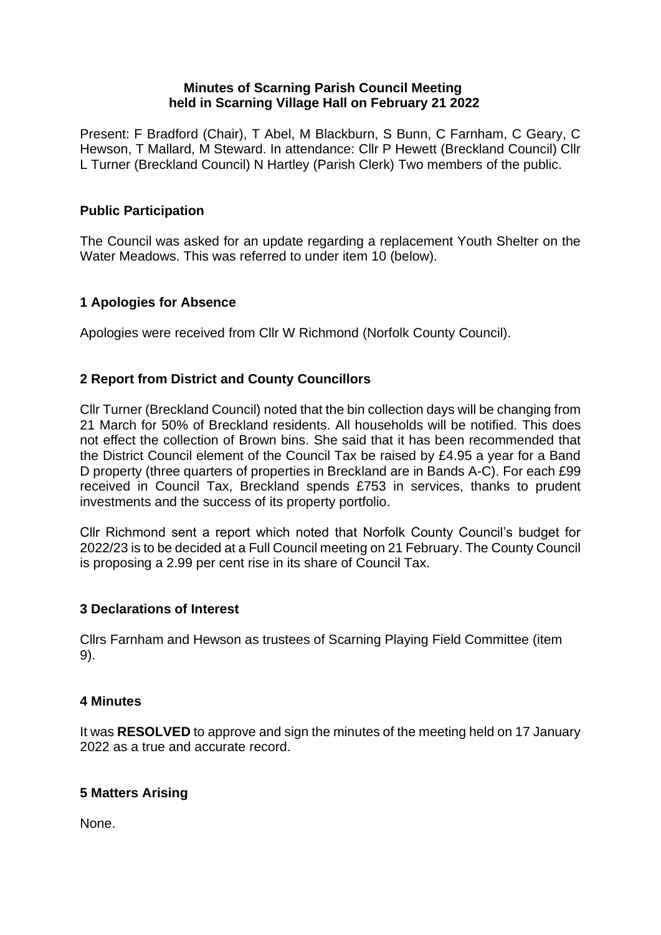### **Minutes of Scarning Parish Council Meeting held in Scarning Village Hall on February 21 2022**

Present: F Bradford (Chair), T Abel, M Blackburn, S Bunn, C Farnham, C Geary, C Hewson, T Mallard, M Steward. In attendance: Cllr P Hewett (Breckland Council) Cllr L Turner (Breckland Council) N Hartley (Parish Clerk) Two members of the public.

## **Public Participation**

The Council was asked for an update regarding a replacement Youth Shelter on the Water Meadows. This was referred to under item 10 (below).

## **1 Apologies for Absence**

Apologies were received from Cllr W Richmond (Norfolk County Council).

## **2 Report from District and County Councillors**

Cllr Turner (Breckland Council) noted that the bin collection days will be changing from 21 March for 50% of Breckland residents. All households will be notified. This does not effect the collection of Brown bins. She said that it has been recommended that the District Council element of the Council Tax be raised by £4.95 a year for a Band D property (three quarters of properties in Breckland are in Bands A-C). For each £99 received in Council Tax, Breckland spends £753 in services, thanks to prudent investments and the success of its property portfolio.

Cllr Richmond sent a report which noted that Norfolk County Council's budget for 2022/23 is to be decided at a Full Council meeting on 21 February. The County Council is proposing a 2.99 per cent rise in its share of Council Tax.

#### **3 Declarations of Interest**

Cllrs Farnham and Hewson as trustees of Scarning Playing Field Committee (item 9).

#### **4 Minutes**

It was **RESOLVED** to approve and sign the minutes of the meeting held on 17 January 2022 as a true and accurate record.

#### **5 Matters Arising**

None.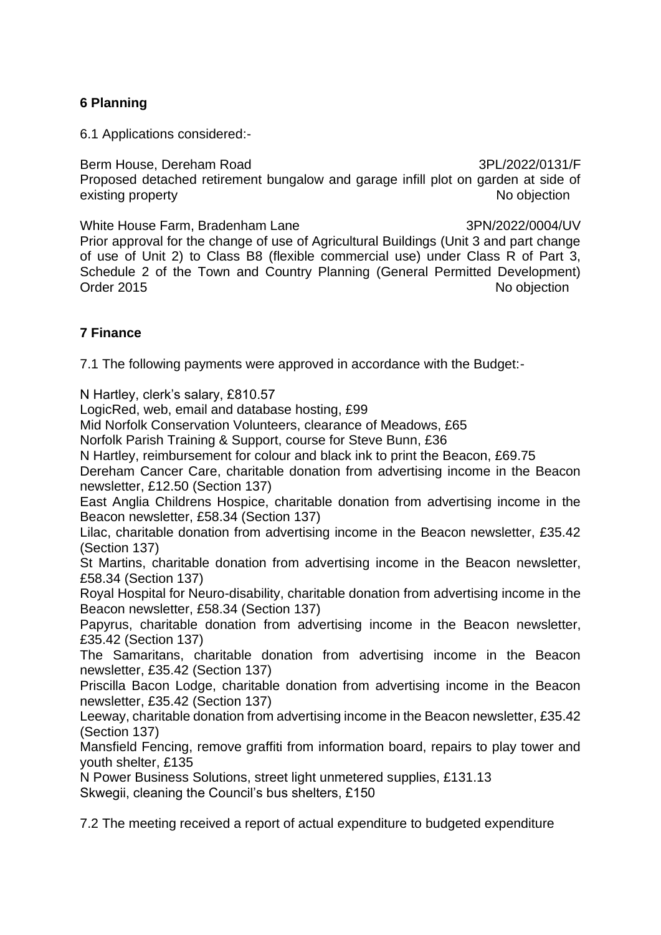## **6 Planning**

6.1 Applications considered:-

Berm House, Dereham Road 3PL/2022/0131/F Proposed detached retirement bungalow and garage infill plot on garden at side of existing property **No objection** 

White House Farm, Bradenham Lane 3PN/2022/0004/UV Prior approval for the change of use of Agricultural Buildings (Unit 3 and part change of use of Unit 2) to Class B8 (flexible commercial use) under Class R of Part 3, Schedule 2 of the Town and Country Planning (General Permitted Development) Order 2015 No objection

## **7 Finance**

7.1 The following payments were approved in accordance with the Budget:-

N Hartley, clerk's salary, £810.57

LogicRed, web, email and database hosting, £99

Mid Norfolk Conservation Volunteers, clearance of Meadows, £65

Norfolk Parish Training & Support, course for Steve Bunn, £36

N Hartley, reimbursement for colour and black ink to print the Beacon, £69.75

Dereham Cancer Care, charitable donation from advertising income in the Beacon newsletter, £12.50 (Section 137)

East Anglia Childrens Hospice, charitable donation from advertising income in the Beacon newsletter, £58.34 (Section 137)

Lilac, charitable donation from advertising income in the Beacon newsletter, £35.42 (Section 137)

St Martins, charitable donation from advertising income in the Beacon newsletter, £58.34 (Section 137)

Royal Hospital for Neuro-disability, charitable donation from advertising income in the Beacon newsletter, £58.34 (Section 137)

Papyrus, charitable donation from advertising income in the Beacon newsletter, £35.42 (Section 137)

The Samaritans, charitable donation from advertising income in the Beacon newsletter, £35.42 (Section 137)

Priscilla Bacon Lodge, charitable donation from advertising income in the Beacon newsletter, £35.42 (Section 137)

Leeway, charitable donation from advertising income in the Beacon newsletter, £35.42 (Section 137)

Mansfield Fencing, remove graffiti from information board, repairs to play tower and youth shelter, £135

N Power Business Solutions, street light unmetered supplies, £131.13 Skwegii, cleaning the Council's bus shelters, £150

7.2 The meeting received a report of actual expenditure to budgeted expenditure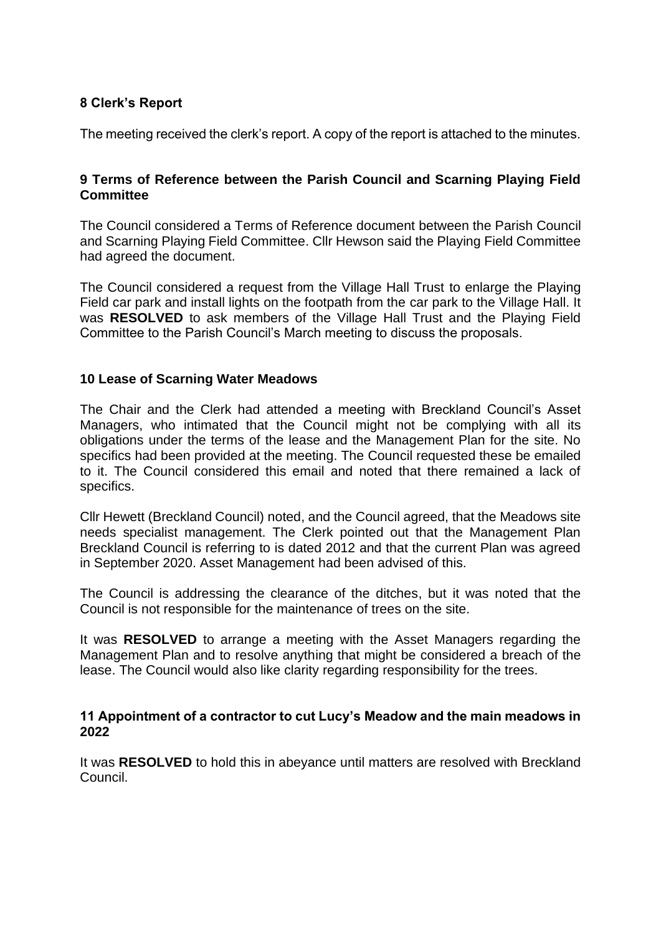## **8 Clerk's Report**

The meeting received the clerk's report. A copy of the report is attached to the minutes.

### **9 Terms of Reference between the Parish Council and Scarning Playing Field Committee**

The Council considered a Terms of Reference document between the Parish Council and Scarning Playing Field Committee. Cllr Hewson said the Playing Field Committee had agreed the document.

The Council considered a request from the Village Hall Trust to enlarge the Playing Field car park and install lights on the footpath from the car park to the Village Hall. It was **RESOLVED** to ask members of the Village Hall Trust and the Playing Field Committee to the Parish Council's March meeting to discuss the proposals.

#### **10 Lease of Scarning Water Meadows**

The Chair and the Clerk had attended a meeting with Breckland Council's Asset Managers, who intimated that the Council might not be complying with all its obligations under the terms of the lease and the Management Plan for the site. No specifics had been provided at the meeting. The Council requested these be emailed to it. The Council considered this email and noted that there remained a lack of specifics.

Cllr Hewett (Breckland Council) noted, and the Council agreed, that the Meadows site needs specialist management. The Clerk pointed out that the Management Plan Breckland Council is referring to is dated 2012 and that the current Plan was agreed in September 2020. Asset Management had been advised of this.

The Council is addressing the clearance of the ditches, but it was noted that the Council is not responsible for the maintenance of trees on the site.

It was **RESOLVED** to arrange a meeting with the Asset Managers regarding the Management Plan and to resolve anything that might be considered a breach of the lease. The Council would also like clarity regarding responsibility for the trees.

#### **11 Appointment of a contractor to cut Lucy's Meadow and the main meadows in 2022**

It was **RESOLVED** to hold this in abeyance until matters are resolved with Breckland Council.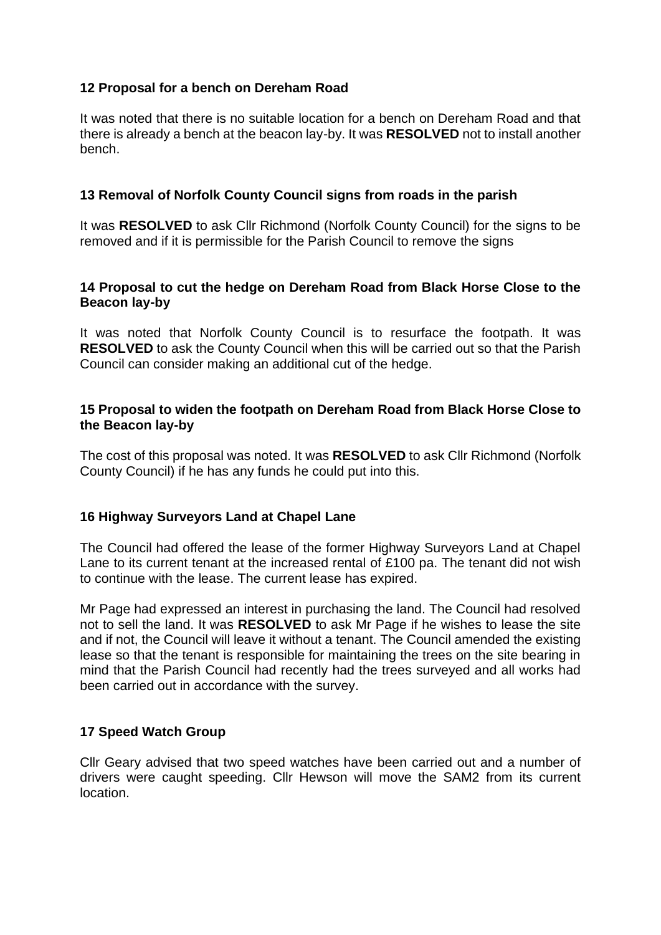## **12 Proposal for a bench on Dereham Road**

It was noted that there is no suitable location for a bench on Dereham Road and that there is already a bench at the beacon lay-by. It was **RESOLVED** not to install another bench.

### **13 Removal of Norfolk County Council signs from roads in the parish**

It was **RESOLVED** to ask Cllr Richmond (Norfolk County Council) for the signs to be removed and if it is permissible for the Parish Council to remove the signs

## **14 Proposal to cut the hedge on Dereham Road from Black Horse Close to the Beacon lay-by**

It was noted that Norfolk County Council is to resurface the footpath. It was **RESOLVED** to ask the County Council when this will be carried out so that the Parish Council can consider making an additional cut of the hedge.

#### **15 Proposal to widen the footpath on Dereham Road from Black Horse Close to the Beacon lay-by**

The cost of this proposal was noted. It was **RESOLVED** to ask Cllr Richmond (Norfolk County Council) if he has any funds he could put into this.

#### **16 Highway Surveyors Land at Chapel Lane**

The Council had offered the lease of the former Highway Surveyors Land at Chapel Lane to its current tenant at the increased rental of £100 pa. The tenant did not wish to continue with the lease. The current lease has expired.

Mr Page had expressed an interest in purchasing the land. The Council had resolved not to sell the land. It was **RESOLVED** to ask Mr Page if he wishes to lease the site and if not, the Council will leave it without a tenant. The Council amended the existing lease so that the tenant is responsible for maintaining the trees on the site bearing in mind that the Parish Council had recently had the trees surveyed and all works had been carried out in accordance with the survey.

#### **17 Speed Watch Group**

Cllr Geary advised that two speed watches have been carried out and a number of drivers were caught speeding. Cllr Hewson will move the SAM2 from its current location.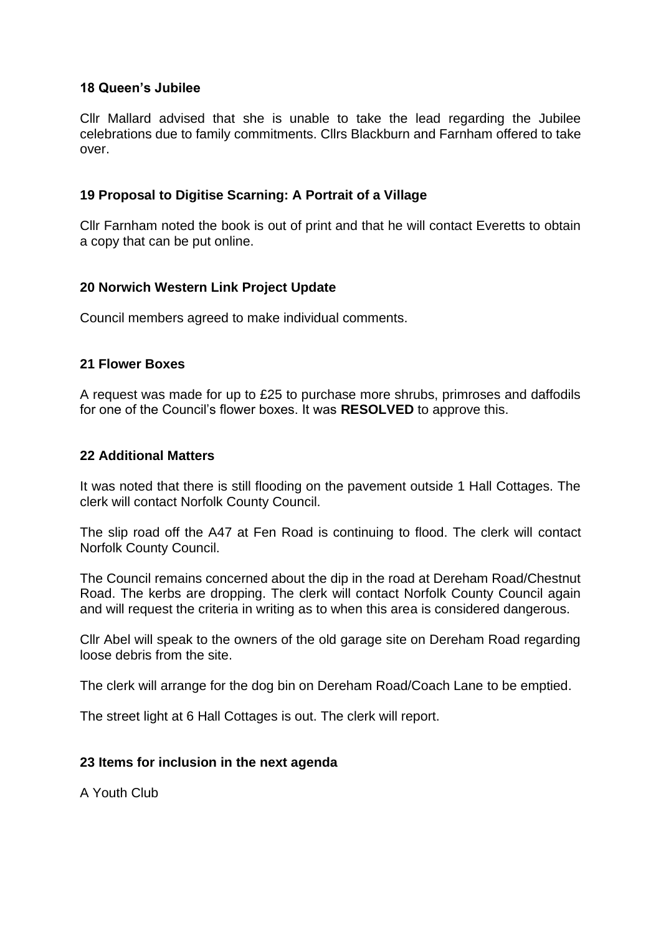### **18 Queen's Jubilee**

Cllr Mallard advised that she is unable to take the lead regarding the Jubilee celebrations due to family commitments. Cllrs Blackburn and Farnham offered to take over.

### **19 Proposal to Digitise Scarning: A Portrait of a Village**

Cllr Farnham noted the book is out of print and that he will contact Everetts to obtain a copy that can be put online.

## **20 Norwich Western Link Project Update**

Council members agreed to make individual comments.

#### **21 Flower Boxes**

A request was made for up to £25 to purchase more shrubs, primroses and daffodils for one of the Council's flower boxes. It was **RESOLVED** to approve this.

#### **22 Additional Matters**

It was noted that there is still flooding on the pavement outside 1 Hall Cottages. The clerk will contact Norfolk County Council.

The slip road off the A47 at Fen Road is continuing to flood. The clerk will contact Norfolk County Council.

The Council remains concerned about the dip in the road at Dereham Road/Chestnut Road. The kerbs are dropping. The clerk will contact Norfolk County Council again and will request the criteria in writing as to when this area is considered dangerous.

Cllr Abel will speak to the owners of the old garage site on Dereham Road regarding loose debris from the site.

The clerk will arrange for the dog bin on Dereham Road/Coach Lane to be emptied.

The street light at 6 Hall Cottages is out. The clerk will report.

#### **23 Items for inclusion in the next agenda**

A Youth Club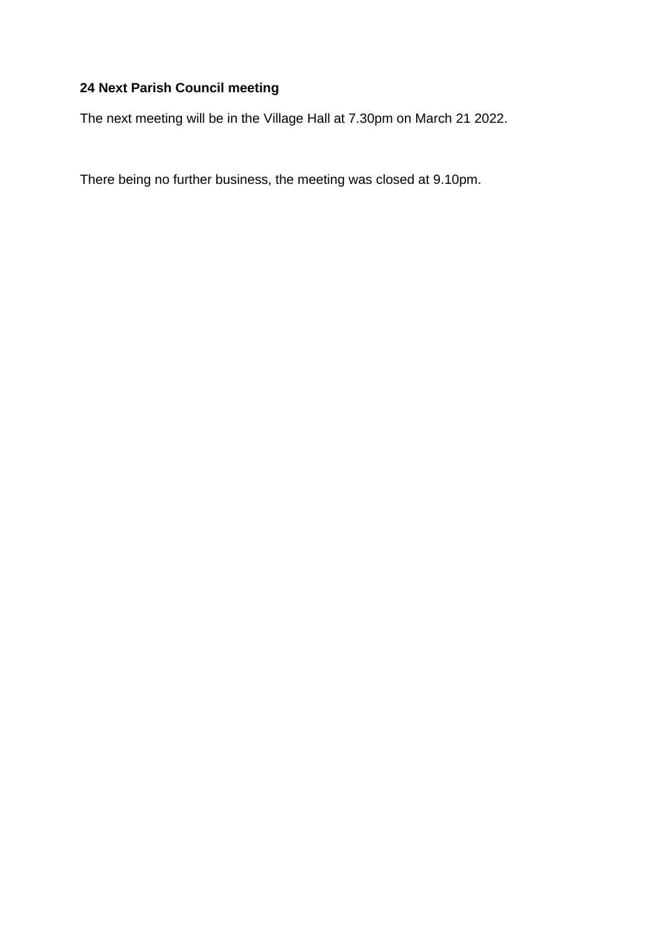# **24 Next Parish Council meeting**

The next meeting will be in the Village Hall at 7.30pm on March 21 2022.

There being no further business, the meeting was closed at 9.10pm.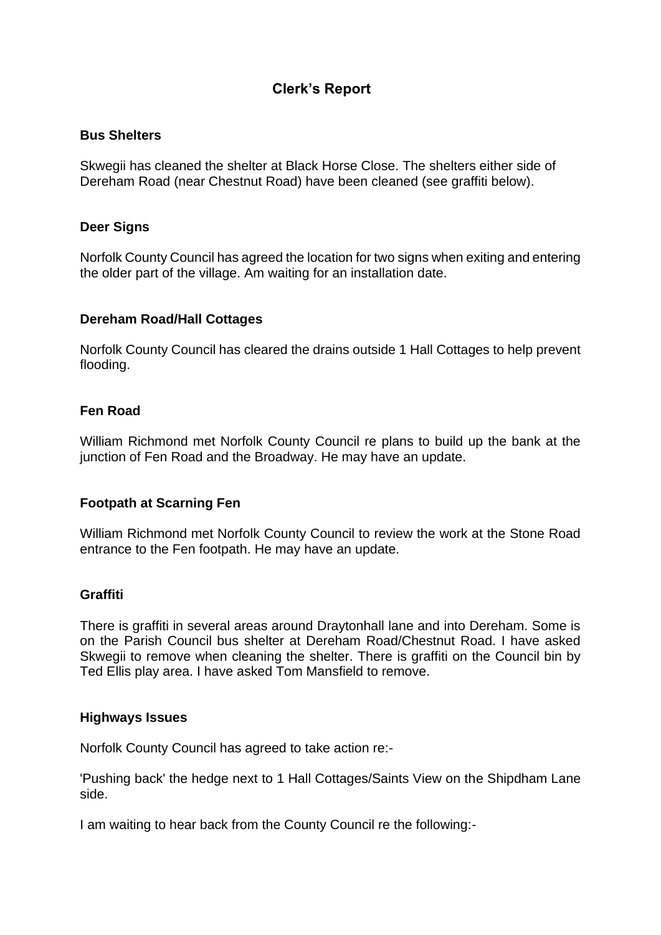# **Clerk's Report**

#### **Bus Shelters**

Skwegii has cleaned the shelter at Black Horse Close. The shelters either side of Dereham Road (near Chestnut Road) have been cleaned (see graffiti below).

#### **Deer Signs**

Norfolk County Council has agreed the location for two signs when exiting and entering the older part of the village. Am waiting for an installation date.

#### **Dereham Road/Hall Cottages**

Norfolk County Council has cleared the drains outside 1 Hall Cottages to help prevent flooding.

#### **Fen Road**

William Richmond met Norfolk County Council re plans to build up the bank at the junction of Fen Road and the Broadway. He may have an update.

#### **Footpath at Scarning Fen**

William Richmond met Norfolk County Council to review the work at the Stone Road entrance to the Fen footpath. He may have an update.

#### **Graffiti**

There is graffiti in several areas around Draytonhall lane and into Dereham. Some is on the Parish Council bus shelter at Dereham Road/Chestnut Road. I have asked Skwegii to remove when cleaning the shelter. There is graffiti on the Council bin by Ted Ellis play area. I have asked Tom Mansfield to remove.

#### **Highways Issues**

Norfolk County Council has agreed to take action re:-

'Pushing back' the hedge next to 1 Hall Cottages/Saints View on the Shipdham Lane side.

I am waiting to hear back from the County Council re the following:-